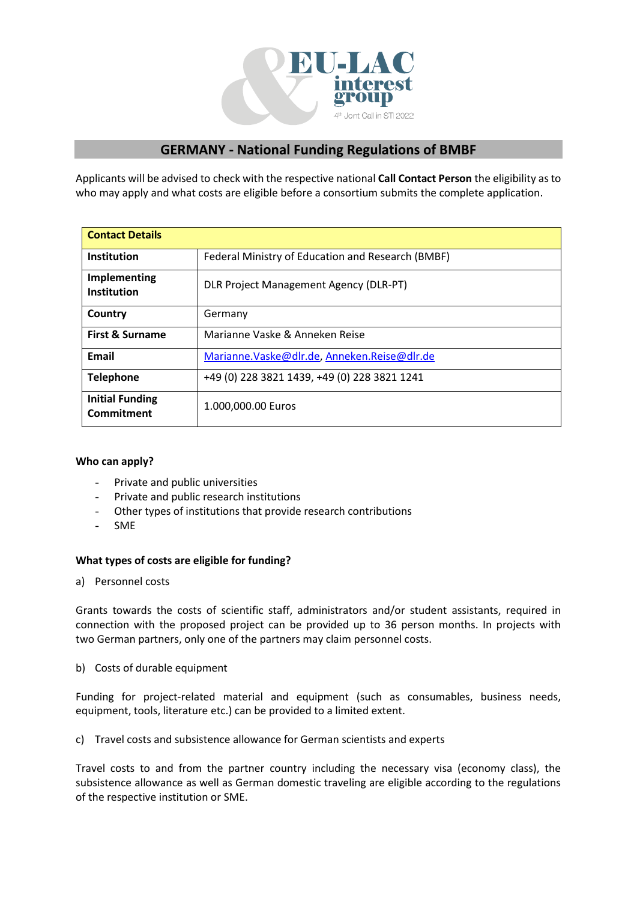

# **GERMANY - National Funding Regulations of BMBF**

Applicants will be advised to check with the respective national **Call Contact Person** the eligibility as to who may apply and what costs are eligible before a consortium submits the complete application.

| <b>Contact Details</b>               |                                                   |
|--------------------------------------|---------------------------------------------------|
| <b>Institution</b>                   | Federal Ministry of Education and Research (BMBF) |
| Implementing<br><b>Institution</b>   | <b>DLR Project Management Agency (DLR-PT)</b>     |
| Country                              | Germany                                           |
| <b>First &amp; Surname</b>           | Marianne Vaske & Anneken Reise                    |
| Email                                | Marianne. Vaske@dlr.de, Anneken. Reise@dlr.de     |
| <b>Telephone</b>                     | +49 (0) 228 3821 1439, +49 (0) 228 3821 1241      |
| <b>Initial Funding</b><br>Commitment | 1.000,000.00 Euros                                |

## **Who can apply?**

- $\sim$ Private and public universities
- Private and public research institutions
- Other types of institutions that provide research contributions  $\Delta \sim 10^4$
- $\sim$ SME

## **What types of costs are eligible for funding?**

a) Personnel costs

Grants towards the costs of scientific staff, administrators and/or student assistants, required in connection with the proposed project can be provided up to 36 person months. In projects with two German partners, only one of the partners may claim personnel costs.

b) Costs of durable equipment

Funding for project-related material and equipment (such as consumables, business needs, equipment, tools, literature etc.) can be provided to a limited extent.

c) Travel costs and subsistence allowance for German scientists and experts

Travel costs to and from the partner country including the necessary visa (economy class), the subsistence allowance as well as German domestic traveling are eligible according to the regulations of the respective institution or SME.